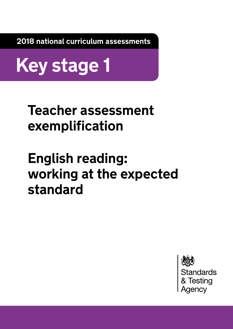**2018 national curriculum assessments**

# **Key stage 1**

## **Teacher assessment exemplification**

## **English reading: working at the expected standard**

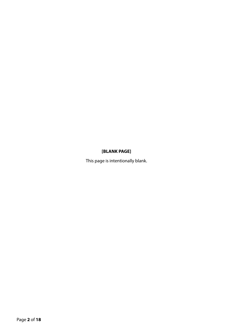#### **[BLANK PAGE]**

This page is intentionally blank.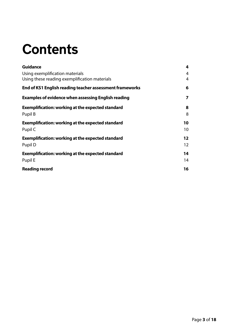## **Contents**

| <b>Guidance</b>                                            | 4                 |
|------------------------------------------------------------|-------------------|
| Using exemplification materials                            | 4                 |
| Using these reading exemplification materials              | 4                 |
| End of KS1 English reading teacher assessment frameworks   | 6                 |
| <b>Examples of evidence when assessing English reading</b> | 7                 |
| <b>Exemplification: working at the expected standard</b>   | 8                 |
| Pupil B                                                    | 8                 |
| <b>Exemplification: working at the expected standard</b>   | 10                |
| Pupil C                                                    | 10                |
| <b>Exemplification: working at the expected standard</b>   | $12 \,$           |
| Pupil D                                                    | $12 \overline{ }$ |
| <b>Exemplification: working at the expected standard</b>   | 14                |
| Pupil E                                                    | 14                |
| <b>Reading record</b>                                      | 16                |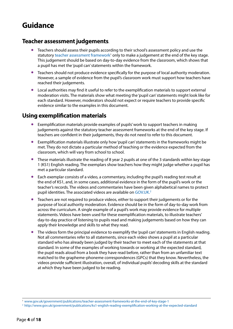## <span id="page-3-0"></span>**Guidance**

#### **Teacher assessment judgements**.

- Teachers should assess their pupils according to their school's assessment policy and use the statutory teacher assessment framework<sup>1</sup> only to make a judgement at the end of the key stage. This judgement should be based on day-to-day evidence from the classroom, which shows that a pupil has met the 'pupil can' statements within the framework.
- Teachers should not produce evidence specifically for the purpose of local authority moderation. However, a sample of evidence from the pupil's classroom work must support how teachers have reached their judgements.
- Local authorities may find it useful to refer to the exemplification materials to support external moderation visits. The materials show what meeting the 'pupil can' statements might look like for each standard. However, moderators should not expect or require teachers to provide specific evidence similar to the examples in this document.

#### **Using exemplification materials**

- Exemplification materials provide examples of pupils' work to support teachers in making judgements against the statutory teacher assessment frameworks at the end of the key stage. If teachers are confident in their judgements, they do not need to refer to this document.
- Exemplification materials illustrate only how 'pupil can' statements in the frameworks might be met. They do not dictate a particular method of teaching or the evidence expected from the classroom, which will vary from school to school.
- These materials illustrate the reading of 8 year 2 pupils at one of the 3 standards within key stage 1 (KS1) English reading. The exemplars show teachers how they might judge whether a pupil has met a particular standard.
- Each exemplar consists of a video, a commentary, including the pupil's reading test result at the end of KS1, and, in some cases, additional evidence in the form of the pupil's work or the teacher's records. The videos and commentaries have been given alphabetical names to protect pupil identities. The associated videos are available on [GOV.UK](http://www.gov.uk/government/publications/ks1-english-reading-exemplification-working-at-the-expected-standard).<sup>2</sup>
- Teachers are not required to produce videos, either to support their judgements or for the purpose of local authority moderation. Evidence should be in the form of day-to-day work from across the curriculum. A single example of a pupil's work may provide evidence for multiple statements. Videos have been used for these exemplification materials, to illustrate teachers' day-to-day practice of listening to pupils read and making judgements based on how they can apply their knowledge and skills to what they read.
- The videos form the principal evidence to exemplify the 'pupil can' statements in English reading. Not all commentaries refer to all statements, since each video shows a pupil at a particular standard who has already been judged by their teacher to meet each of the statements at that standard. In some of the examples of working towards or working at the expected standard, the pupil reads aloud from a book they have read before, rather than from an unfamiliar text matched to the grapheme-phoneme correspondences (GPCs) that they know. Nevertheless, the videos provide sufficient illustration, overall, of individual pupils' decoding skills at the standard at which they have been judged to be reading.

<sup>1</sup> [www.gov.uk/government/publications/teacher-assessment-frameworks-at-the-end-of-key-stage-1](http://www.gov.uk/government/publications/teacher-assessment-frameworks-at-the-end-of-key-stage-1)

<sup>2</sup> [http://www.gov.uk/government/publications/ks1-english-reading-exemplification-working-at-the-expected-standard]( http://www.gov.uk/government/publications/ks1-english-reading-exemplification-working-at-the-expec)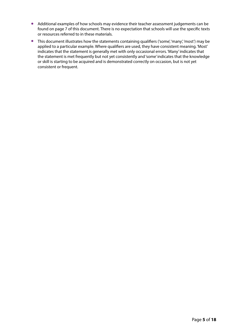- Additional examples of how schools may evidence their teacher assessment judgements can be found on page 7 of this document. There is no expectation that schools will use the specific texts or resources referred to in these materials.
- This document illustrates how the statements containing qualifiers ('some', 'many', 'most') may be applied to a particular example. Where qualifiers are used, they have consistent meaning. 'Most' indicates that the statement is generally met with only occasional errors. 'Many' indicates that the statement is met frequently but not yet consistently and 'some' indicates that the knowledge or skill is starting to be acquired and is demonstrated correctly on occasion, but is not yet consistent or frequent.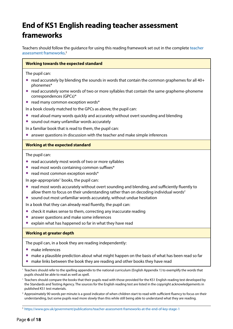## <span id="page-5-0"></span>**End of KS1 English reading teacher assessment frameworks**

Teachers should follow the [guidance](https://www.gov.uk/government/publications/teacher-assessment-frameworks-at-the-end-of-key-stage-1) for using this reading framework set out in the complete teacher [assessment framework](https://www.gov.uk/government/publications/teacher-assessment-frameworks-at-the-end-of-key-stage-1)s. 3

#### **Working towards the expected standard**

The pupil can:

- read accurately by blending the sounds in words that contain the common graphemes for all  $40+$ phonemes\*
- read accurately some words of two or more syllables that contain the same grapheme-phoneme correspondences (GPCs)\*
- read many common exception words\*

In a book closely matched to the GPCs as above, the pupil can:

- read aloud many words quickly and accurately without overt sounding and blending
- sound out many unfamiliar words accurately

In a familiar book that is read to them, the pupil can:

• answer questions in discussion with the teacher and make simple inferences

#### **Working at the expected standard**

The pupil can:

- read accurately most words of two or more syllables
- read most words containing common suffixes\*
- read most common exception words\*

In age-appropriate<sup>1</sup> books, the pupil can:

- read most words accurately without overt sounding and blending, and sufficiently fluently to allow them to focus on their understanding rather than on decoding individual words<sup>2</sup>
- sound out most unfamiliar words accurately, without undue hesitation

In a book that they can already read fluently, the pupil can:

- check it makes sense to them, correcting any inaccurate reading
- answer questions and make some inferences
- explain what has happened so far in what they have read

#### **Working at greater depth**

The pupil can, in a book they are reading independently:

- make inferences
- make a plausible prediction about what might happen on the basis of what has been read so far
- make links between the book they are reading and other books they have read

- <sup>1</sup> Teachers should compare the books that their pupils read with those provided for the KS1 English reading test developed by the Standards and Testing Agency. The sources for the English reading test are listed in the copyright acknowledgements in published KS1 test materials.
- <sup>2</sup> Approximately 90 words per minute is a good indicator of when children start to read with sufficient fluency to focus on their understanding, but some pupils read more slowly than this while still being able to understand what they are reading.

Teachers should refer to the spelling appendix to the national curriculum (English Appendix 1) to exemplify the words that pupils should be able to read as well as spell.

<sup>3</sup> <https://www.gov.uk/government/publications/teacher-assessment-frameworks-at-the-end-of-key-stage-1>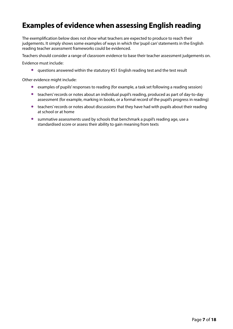## <span id="page-6-0"></span>**Examples of evidence when assessing English reading**

The exemplification below does not show what teachers are expected to produce to reach their judgements. It simply shows some examples of ways in which the 'pupil can' statements in the English reading teacher assessment frameworks could be evidenced.

Teachers should consider a range of classroom evidence to base their teacher assessment judgements on.

Evidence must include:

• questions answered within the statutory KS1 English reading test and the test result

Other evidence might include:

- examples of pupils' responses to reading (for example, a task set following a reading session)
- teachers' records or notes about an individual pupil's reading, produced as part of day-to-day assessment (for example, marking in books, or a formal record of the pupil's progress in reading)
- teachers' records or notes about discussions that they have had with pupils about their reading at school or at home
- summative assessments used by schools that benchmark a pupil's reading age, use a standardised score or assess their ability to gain meaning from texts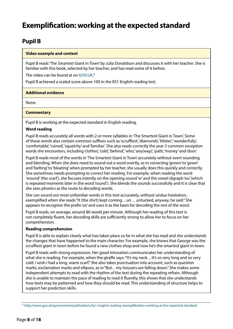### <span id="page-7-0"></span>**Pupil B**

#### **Video example and context**

Pupil B reads 'The Smartest Giant in Town' by Julia Donaldson and discusses it with her teacher. She is familiar with this book, selected by her teacher, and has read some of it before.

The video can be found at on [GOV.UK](http://www.gov.uk/government/publications/ks1-english-reading-exemplification-working-at-the-expected-standard). 4

Pupil B achieved a scaled score above 100 in the KS1 English reading test.

#### **Additional evidence**

None.

#### **Commentary**

Pupil B is working at the expected standard in English reading.

#### **Word reading**

Pupil B reads accurately all words with 2 or more syllables in 'The Smartest Giant in Town'. Some of these words also contain common suffixes such as 'scruffiest', 'diamonds', 'blister', 'wonderfully', 'comfortable', 'ruined', 'squelchy' and 'familiar'. She also reads correctly the year 2 common exception words she encounters, including 'clothes', 'cold', 'behind', 'who', 'any(way)', 'path', 'money' and 'door'.

Pupil B reads most of the words in 'The Smartest Giant in Town' accurately without overt sounding and blending. When she does need to sound out a word overtly, as in correcting 'grown' to 'gown' and 'belting' to 'bleating' when prompted by her teacher, she usually does this quickly and correctly. She sometimes needs prompting to correct her reading. For example, when reading the word 'wound' (the scarf), she focuses intently on the opening sound 'w' and the vowel digraph 'ou' (which is repeated moments later in the word 'round'). She blends the sounds successfully and it is clear that she sees phonics as the route to decoding words.

She can sound out most unfamiliar words in this text accurately, without undue hesitation, exemplified when she reads "It (the shirt) kept coming…un… untucked, anyway, he said." She appears to recognise the prefix 'un' and uses it as the basis for decoding the rest of the word.

Pupil B reads, on average, around 80 words per minute. Although her reading of this text is not completely fluent, her decoding skills are sufficiently strong to allow her to focus on her comprehension.

#### **Reading comprehension**

Pupil B is able to explain clearly what has taken place so far in what she has read and she understands the changes that have happened to the main character. For example, she knows that George was the scruffiest giant in town before he found a new clothes shop and now he's the smartest giant in town.

Pupil B reads with strong expression. Her good intonation communicates her understanding of what she is reading. For example, when the giraffe says: "It's my neck…It's so very long and so very cold. I wish I had a long, warm scarf." She also takes punctuation into account, such as question marks, exclamation marks and ellipses, as in "But…my trousers are falling down." She makes some independent attempts to read with the rhythm of the text during the repeating refrain. Although she is unable to maintain the pace of reading to read it fluently, this shows that she understands how texts may be patterned and how they should be read. This understanding of structure helps to support her prediction skills.

<sup>4</sup> [http://www.gov.uk/government/publications/ks1-english-reading-exemplification-working-at-the-expected-standard](http://www.gov.uk/government/publications/ks1-english-reading-exemplification-working-at-the-expecte)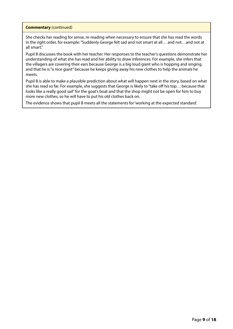She checks her reading for sense, re-reading when necessary to ensure that she has read the words in the right order, for example: "Suddenly George felt sad and not smart at all… and not…and not at all smart."

Pupil B discusses the book with her teacher. Her responses to the teacher's questions demonstrate her understanding of what she has read and her ability to draw inferences. For example, she infers that the villagers are covering their ears because George is a big loud giant who is hopping and singing, and that he is "a nice giant" because he keeps giving away his new clothes to help the animals he meets.

Pupil B is able to make a plausible prediction about what will happen next in the story, based on what she has read so far. For example, she suggests that George is likely to "take off his top… because that looks like a really good sail" for the goat's boat and that the shop might not be open for him to buy more new clothes, so he will have to put his old clothes back on.

The evidence shows that pupil B meets all the statements for 'working at the expected standard'.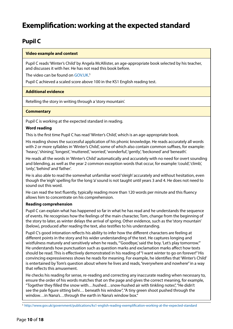## <span id="page-9-0"></span>**Pupil C**

#### **Video example and context**

Pupil C reads 'Winter's Child' by Angela McAllister, an age-appropriate book selected by his teacher, and discusses it with her. He has not read this book before.

The video can be found on [GOV.UK.](http://www.gov.uk/government/publications/ks1-english-reading-exemplification-working-at-the-expected-standard) 5

Pupil C achieved a scaled score above 100 in the KS1 English reading test.

#### **Additional evidence**

Retelling the story in writing through a 'story mountain'.

#### **Commentary**

Pupil C is working at the expected standard in reading.

#### **Word reading**

This is the first time Pupil C has read 'Winter's Child', which is an age-appropriate book.

His reading shows the successful application of his phonic knowledge. He reads accurately all words with 2 or more syllables in 'Winter's Child', some of which also contain common suffixes, for example: 'heavy', 'shining', 'longest', 'muttered', 'worried', 'wonderful', 'gently', 'beckoned' and 'beneath'.

He reads all the words in 'Winter's Child' automatically and accurately with no need for overt sounding and blending, as well as the year 2 common exception words that occur, for example: 'could', 'climb', 'only', 'behind' and 'father'.

He is also able to read the somewhat unfamiliar word 'sleigh' accurately and without hesitation, even though the 'eigh' spelling for the long 'a' sound is not taught until years 3 and 4. He does not need to sound out this word.

He can read the text fluently, typically reading more than 120 words per minute and this fluency allows him to concentrate on his comprehension.

#### **Reading comprehension**

Pupil C can explain what has happened so far in what he has read and he understands the sequence of events. He recognises how the feelings of the main character, Tom, change from the beginning of the story to later, as winter delays the arrival of spring. Other evidence, such as the 'story mountain' (below), produced after reading the text, also testifies to his understanding.

Pupil C's good intonation reflects his ability to infer how the different characters are feeling at different points in the story and his wider understanding of the text. He captures longing and wistfulness maturely and sensitively when he reads, "'Goodbye,' said the boy. 'Let's play tomorrow." He understands how punctuation such as question marks and exclamation marks affect how texts should be read. This is effectively demonstrated in his reading of "I want winter to go on forever!" His convincing expressiveness shows he reads for meaning. For example, he identifies that 'Winter's Child' is entertained by Tom's question about where he lives and reads, "everywhere and nowhere" in a way that reflects this amusement.

He checks his reading for sense, re-reading and correcting any inaccurate reading when necessary to, ensure the order of his words matches that on the page and gives the correct meaning, for example, "Together they filled the snow with…hushed…snow-hushed air with tinkling notes", "He didn't see the pale figure sitting behi… beneath his window", "A tiny green shoot pushed through the window…in Nana's…through the earth in Nana's window box."

<sup>5</sup> [http://www.gov.uk/government/publications/ks1-english-reading-exemplification-working-at-the-expected-standard](http://www.gov.uk/government/publications/ks1-english-reading-exemplification-working-at-the-expecte)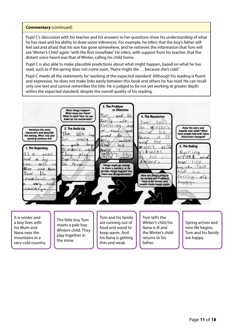Pupil C's discussion with his teacher and his answers to her questions show his understanding of what he has read and his ability to draw some inferences. For example, he infers that the boy's father will feel sad and afraid that his son has gone somewhere, and he retrieves the information that Tom will see 'Winter's Child' again "with the first snowflake" He infers, with support from his teacher, that the distant voice heard was that of Winter, calling his child home.

Pupil C is also able to make plausible predictions about what might happen, based on what he has read, such as if the spring does not come soon, "Nana might die … because she's cold."

Pupil C meets all the statements for 'working at the expected standard'. Although his reading is fluent and expressive, he does not make links easily between this book and others he has read. He can recall only one text and cannot remember the title. He is judged to be not yet working at greater depth within the expected standard, despite the overall quality of his reading.



It is winter and a boy lives with his Mum and Nana near the mountains in a very cold country.

The little boy Tom meets a pale boy Winters child. They play together in the snow.

Tom and his family are running out of food and wood to keep warm. And his Nana is getting thin and weak.

Tom tell's the Winter's child his Nana is ill and the Winter's child returns to his father.

Spring arrives and new life begins. Tom and his family are happy.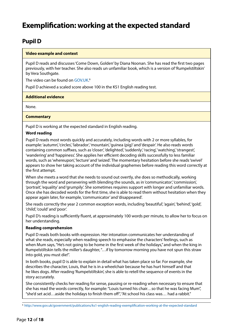## <span id="page-11-0"></span>**Pupil D**

#### **Video example and context**

Pupil D reads and discusses 'Come Down, Golden' by Diana Noonan. She has read the first two pages previously, with her teacher. She also reads un unfamiliar book, which is a version of 'Rumpelstiltskin' by Vera Southgate.

The video can be found on [GOV.UK.](http://www.gov.uk/government/publications/ks1-english-reading-exemplification-working-at-the-expected-standard) 6

Pupil D achieved a scaled score above 100 in the KS1 English reading test.

#### **Additional evidence**

None.

#### **Commentary**

Pupil D is working at the expected standard in English reading.

#### **Word reading**

Pupil D reads most words quickly and accurately, including words with 2 or more syllables, for example: 'autumn', 'circles', 'labrador', 'mountain', 'guinea (pig)' and 'despair'. He also reads words containing common suffixes, such as 'closer', 'delighted', 'suddenly', 'racing', 'watching', 'strangest', 'wandering' and 'happiness'. She applies her efficient decoding skills successfully to less familiar words, such as 'whereupon', 'lecture' and 'seized'. The momentary hesitation before she reads 'swivel' appears to show her taking account of the individual graphemes before reading this word correctly at the first attempt.

When she meets a word that she needs to sound out overtly, she does so methodically, working through the word and persevering with blending the sounds, as in 'communicator', 'commission', 'portrait', 'equality' and 'grumpily'. She sometimes requires support with longer and unfamiliar words. Once she has decoded words for the first time, she is able to read them without hesitation when they appear again later, for example, 'communicator' and 'disappeared'.

She reads correctly the year 2 common exception words, including 'beautiful', 'again', 'behind', 'gold', 'child', 'could' and 'poor'.

Pupil D's reading is sufficiently fluent, at approximately 100 words per minute, to allow her to focus on her understanding.

#### **Reading comprehension**

Pupil D reads both books with expression. Her intonation communicates her understanding of what she reads, especially when reading speech to emphasise the characters' feelings, such as when Mum says, "He's not going to be home in the first week of the holidays," and when the king in Rumpelstiltskin tells the miller's daughter, "…if by tomorrow morning you have not spun this straw into gold, you must die!".

In both books, pupil D is able to explain in detail what has taken place so far. For example, she describes the character, Louis, that he is in a wheelchair because he has hurt himself and that he likes dogs. After reading 'Rumpelstiltskin', she is able to retell the sequence of events in the story accurately.

She consistently checks her reading for sense, pausing or re-reading when necessary to ensure that she has read the words correctly, for example: "Louis turned his chair…so that he was facing Mum", "she'd set acid…aside the holidays to finish them off", "At school his class was… had a rabbit."

<sup>6</sup> [http://www.gov.uk/government/publications/ks1-english-reading-exemplification-working-at-the-expected-standard](http://www.gov.uk/government/publications/ks1-english-reading-exemplification-working-at-the-expecte)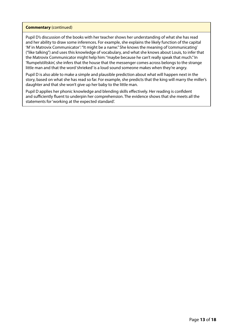Pupil D's discussion of the books with her teacher shows her understanding of what she has read and her ability to draw some inferences. For example, she explains the likely function of the capital 'M' in Matrovix Communicator': "It might be a name." She knows the meaning of 'communicating' ("like talking") and uses this knowledge of vocabulary, and what she knows about Louis, to infer that the Matrovix Communicator might help him: "maybe because he can't really speak that much." In 'Rumpelstiltskin', she infers that the house that the messenger comes across belongs to the strange little man and that the word 'shrieked' is a loud sound someone makes when they're angry.

Pupil D is also able to make a simple and plausible prediction about what will happen next in the story, based on what she has read so far. For example, she predicts that the king will marry the miller's daughter and that she won't give up her baby to the little man.

Pupil D applies her phonic knowledge and blending skills effectively. Her reading is confident and sufficiently fluent to underpin her comprehension. The evidence shows that she meets all the statements for 'working at the expected standard'.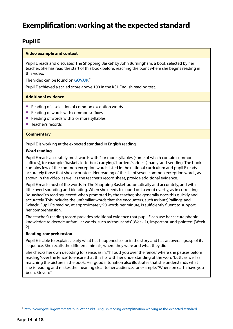### <span id="page-13-0"></span>**Pupil E**

#### **Video example and context**

Pupil E reads and discusses 'The Shopping Basket' by John Burningham, a book selected by her teacher. She has read the start of this book before, reaching the point where she begins reading in this video.

The video can be found on [GOV.UK.](http://www.gov.uk/government/publications/ks1-english-reading-exemplification-working-at-the-expected-standard) 7

Pupil E achieved a scaled score above 100 in the KS1 English reading test.

#### **Additional evidence**

- Reading of a selection of common exception words
- Reading of words with common suffixes
- Reading of words with 2 or more syllables
- Teacher's records

#### **Commentary**

Pupil E is working at the expected standard in English reading.

#### **Word reading**

Pupil E reads accurately most words with 2 or more syllables (some of which contain common suffixes), for example: 'basket', 'letterbox', 'carrying', 'hurried', 'saddest', 'badly' and 'sending'. The book contains few of the common exception words listed in the national curriculum and pupil E reads accurately those that she encounters. Her reading of the list of seven common exception words, as shown in the video, as well as the teacher's record sheet, provide additional evidence.

Pupil E reads most of the words in 'The Shopping Basket' automatically and accurately, and with little overt sounding and blending. When she needs to sound out a word overtly, as in correcting 'squashed' to read 'squeezed' when prompted by the teacher, she generally does this quickly and accurately. This includes the unfamiliar words that she encounters, such as 'butt', 'railings' and 'whack'. Pupil E's reading, at approximately 90 words per minute, is sufficiently fluent to support her comprehension.

The teacher's reading record provides additional evidence that pupil E can use her secure phonic knowledge to decode unfamiliar words, such as 'thousands' (Week 1), 'important' and 'pointed' (Week 2).

#### **Reading comprehension**

Pupil E is able to explain clearly what has happened so far in the story and has an overall grasp of its sequence. She recalls the different animals, where they were and what they did.

She checks her own decoding for sense, as in, "I'll butt you over the fence," where she pauses before reading "over the fence" to ensure that this fits with her understanding of the word 'butt', as well as matching the picture in the book. Her good intonation also illustrates that she understands what she is reading and makes the meaning clear to her audience, for example: "Where on earth have you been, Steven?"

<sup>7</sup> [http://www.gov.uk/government/publications/ks1-english-reading-exemplification-working-at-the-expected-standard](http://www.gov.uk/government/publications/ks1-english-reading-exemplification-working-at-the-expecte)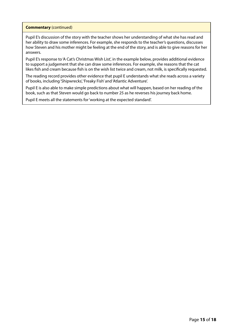Pupil E's discussion of the story with the teacher shows her understanding of what she has read and her ability to draw some inferences. For example, she responds to the teacher's questions, discusses how Steven and his mother might be feeling at the end of the story, and is able to give reasons for her answers.

Pupil E's response to 'A Cat's Christmas Wish List', in the example below, provides additional evidence to support a judgement that she can draw some inferences. For example, she reasons that the cat likes fish and cream because fish is on the wish list twice and cream, not milk, is specifically requested.

The reading record provides other evidence that pupil E understands what she reads across a variety of books, including 'Shipwrecks', 'Freaky Fish' and 'Atlantic Adventure'.

Pupil E is also able to make simple predictions about what will happen, based on her reading of the book, such as that Steven would go back to number 25 as he reverses his journey back home.

Pupil E meets all the statements for 'working at the expected standard'.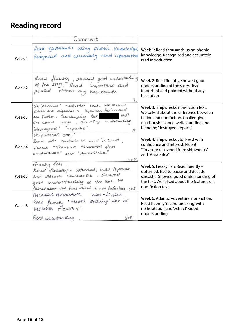## <span id="page-15-0"></span>**Reading record**

|        | Comment                                                                                                                                                                                         |                                                                                                                                                                                                      |
|--------|-------------------------------------------------------------------------------------------------------------------------------------------------------------------------------------------------|------------------------------------------------------------------------------------------------------------------------------------------------------------------------------------------------------|
| Week 1 | Read Unousands using phonic Knowledge<br>Relegionsed and acudately need introduction                                                                                                            | Week 1: Read thousands using phonic<br>knowledge. Recognised and accurately<br>read introduction.                                                                                                    |
| Week 2 | Read Swenty, showed good indestanting<br>of the story. Read important and<br>pointed without any hesitation                                                                                     | Week 2: Read fluently, showed good<br>understanding of the story. Read<br>important and pointed without any<br>hesitation                                                                            |
| Week 3 | Shiphreche' ranfiction text. We takened<br>about the difference between future and<br><b>LUT</b><br>non-fiction. Cuallenging text<br>She coped well, sounding and dending<br>destroyed reports. | Week 3: 'Shipwrecks' non-fiction text.<br>We talked about the difference between<br>fiction and non-fiction. Challenging<br>text but she coped well, sounding and<br>blending 'destroyed' 'reports'. |
| Week 4 | ship whech's ctd.<br>Read pion controlance and interest.<br>fuent "Treasure recovered from<br>ship weeks" and "Antarctica"<br>$5 + 8$                                                           | Week 4: 'Shipwrecks ctd.' Read with<br>confidence and interest. Fluent<br>"Treasure recovered from shipwrecks"<br>and "Antarctica".                                                                  |
| Week 5 | Freaky fish<br>Read fivently - upturned, had to paise<br>and decode saucastic. Showed<br>good understanding of five text. We<br>tained about the features of a non-fiction lexi st 8            | Week 5: Freaky fish. Read fluently -<br>upturned, had to pause and decode<br>sarcastic. Showed good understanding of<br>the text. We talked about the features of a<br>non-fiction text.             |
| Week 6 | Arlantic Adventure. non-fiction.<br>Read fluenty "record breaking with no<br>hesitation t'extract<br>$5 + 5$<br>Good indeparting                                                                | Week 6: Atlantic Adventure, non-fiction.<br>Read fluently 'record breaking' with<br>no hesitation and 'extract'. Good<br>understanding.                                                              |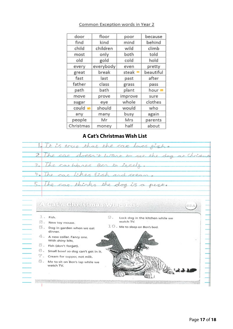| door      | floor     | poor    | because   |
|-----------|-----------|---------|-----------|
| find      | kind      | mind    | behind    |
| child     | children  | wild    | climb     |
| most      | only      | both    | told      |
| old       | gold      | cold    | hold      |
| every     | everybody | even    | pretty    |
| great     | break     | steak   | beautiful |
| fast      | last      | past    | after     |
| father    | class     | grass   | pass      |
| path      | bath      | plant   | hour      |
| move      | prove     | improve | sure      |
| sugar     | eye       | whole   | clothes   |
| could     | should    | would   | who       |
| any       | many      | busy    | again     |
| people    | Mr        | Mrs     | parents   |
| Christmas | money     | half    | about     |

#### Common Exception words in Year 2

#### **A Cat's Christmas Wish List**